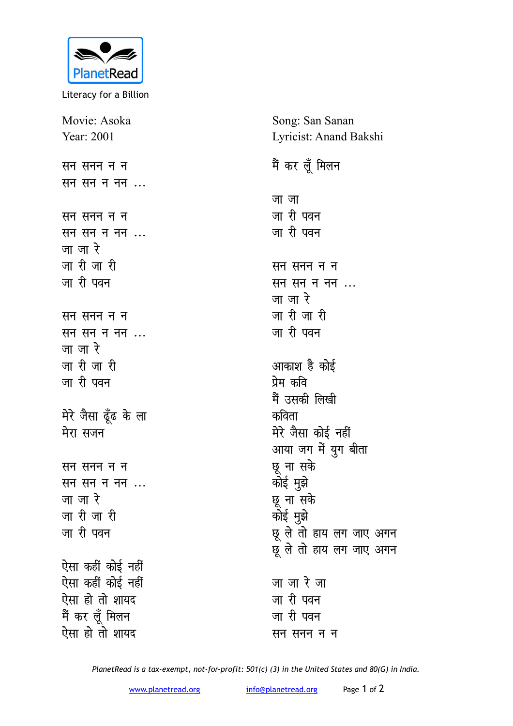

Literacy for a Billion

Movie: Asoka Year: 2001 **Huandria** सम <u>सन सन न नन ...</u> **HH** *HH HH HH सन सन न नन ...* <u>जा जा रे</u> <u>जारी जारी</u> जा री पवन **Huandarie Huand HH** *HH HH HH HH HH* <u>जा जा रे</u> <u>जारी</u> जारी जा री पवन मेरे जैसा ढूँढ के ला **मेरा** सजन **Huandria** सम **HH** *HH HH HH HH HH* <u>जा जा रे</u> <u>जारी जारी</u> जा री पवन ऐसा कहीं कोई नहीं ऐसा कहीं कोई नहीं ऐसा हो तो शाय**द** मैं कर लूँ मिलन ऐसा हो तो शायद

Song: San Sanan Lyricist: Anand Bakshi

## मैं कर लूँ मिलन <u>जा</u>जा जा री पवन <u>जा</u> री पवन **सन सनन न** न सन सन न नन ... <u>जा जा रे</u> <u>जारी जारी</u> जा री पवन आकाश है कोई <u>प्रेम कवि</u> मैं उसकी लिख<u>ी</u> <u>कविता</u> मेरे जैसा कोई न**हीं** आया जग में युग बीता **छू** ना सके कोई मुझे **छू** ना सके कोई मुझे <u>छू</u> ले तो हाय लग जाए अगन प्र ले तो हाय लग जाए अगन <u>जा जा रे जा</u> जा री पवन जा री पवन **<del>सन</del> सनन न न**

*PlanetRead is a tax-exempt, not-for-profit: 501(c) (3) in the United States and 80(G) in India.*